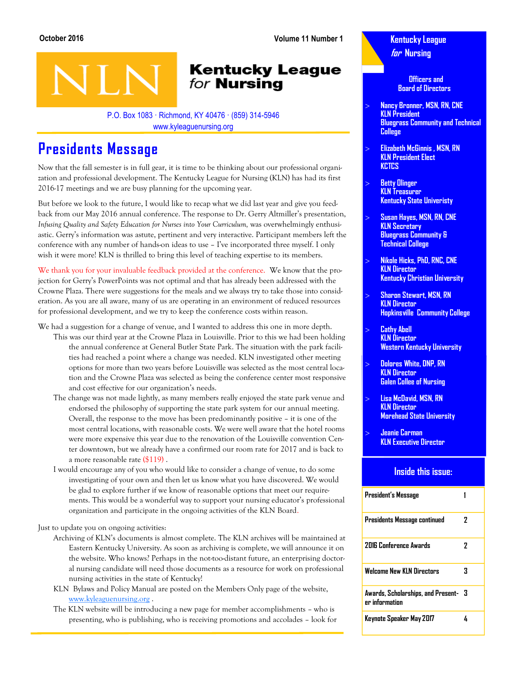## **Kentucky League** for **Nursing**

P.O. Box 1083 · Richmond, KY 40476 · (859) 314-5946 www.kyleaguenursing.org

# **Presidents Message**

Now that the fall semester is in full gear, it is time to be thinking about our professional organization and professional development. The Kentucky League for Nursing (KLN) has had its first 2016-17 meetings and we are busy planning for the upcoming year.

But before we look to the future, I would like to recap what we did last year and give you feedback from our May 2016 annual conference. The response to Dr. Gerry Altmiller's presentation, *Infusing Quality and Safety Education for Nurses into Your Curriculum, was overwhelmingly enthusi*astic. Gerry's information was astute, pertinent and very interactive. Participant members left the conference with any number of hands-on ideas to use – I've incorporated three myself. I only wish it were more! KLN is thrilled to bring this level of teaching expertise to its members.

We thank you for your invaluable feedback provided at the conference. We know that the projection for Gerry's PowerPoints was not optimal and that has already been addressed with the Crowne Plaza. There were suggestions for the meals and we always try to take those into consideration. As you are all aware, many of us are operating in an environment of reduced resources for professional development, and we try to keep the conference costs within reason.

- We had a suggestion for a change of venue, and I wanted to address this one in more depth.
	- This was our third year at the Crowne Plaza in Louisville. Prior to this we had been holding the annual conference at General Butler State Park. The situation with the park facilities had reached a point where a change was needed. KLN investigated other meeting options for more than two years before Louisville was selected as the most central location and the Crowne Plaza was selected as being the conference center most responsive and cost effective for our organization's needs.
	- The change was not made lightly, as many members really enjoyed the state park venue and endorsed the philosophy of supporting the state park system for our annual meeting. Overall, the response to the move has been predominantly positive – it is one of the most central locations, with reasonable costs. We were well aware that the hotel rooms were more expensive this year due to the renovation of the Louisville convention Center downtown, but we already have a confirmed our room rate for 2017 and is back to a more reasonable rate (\$119) .
	- I would encourage any of you who would like to consider a change of venue, to do some investigating of your own and then let us know what you have discovered. We would be glad to explore further if we know of reasonable options that meet our requirements. This would be a wonderful way to support your nursing educator's professional organization and participate in the ongoing activities of the KLN Board.

Just to update you on ongoing activities:

- Archiving of KLN's documents is almost complete. The KLN archives will be maintained at Eastern Kentucky University. As soon as archiving is complete, we will announce it on the website. Who knows? Perhaps in the not-too-distant future, an enterprising doctoral nursing candidate will need those documents as a resource for work on professional nursing activities in the state of Kentucky!
- KLN Bylaws and Policy Manual are posted on the Members Only page of the website, [www.kyleaguenursing.org .](http://www.kyleaguenursing.org)
- The KLN website will be introducing a new page for member accomplishments who is presenting, who is publishing, who is receiving promotions and accolades – look for

**Kentucky League for Nursing** 

> **Officers and Board of Directors**

- **Nancy Bronner, MSN, RN, CNE KLN President Bluegrass Community and Technical College**
- **Elizabeth McGinnis , MSN, RN KLN President Elect KCTCS**
- **Betty Olinger KLN Treasurer Kentucky State Univeristy**
- **Susan Hayes, MSN, RN, CNE KLN Secretary Bluegrass Community & Technical College**
- **Nikole Hicks, PhD, RNC, CNE KLN Director Kentucky Christian University**
- **Sharon Stewart, MSN, RN KLN Director Hopkinsville Community College**
- **Cathy Abell KLN Director Western Kentucky University**
- **Dolores White, DNP, RN KLN Director Galen Collee of Nursing**
- **Lisa McDavid, MSN, RN KLN Director Morehead State University**
- **Jeanie Carman KLN Executive Director**

#### **Inside this issue:**

| President's Message                                    |   |
|--------------------------------------------------------|---|
| Presidents Message continued                           | 7 |
| 2016 Conference Awards                                 | 7 |
| <b>Welcome New KLN Directors</b>                       | 3 |
| Awards, Scholarships, and Present- 3<br>er information |   |
| Keynote Speaker May 2017                               |   |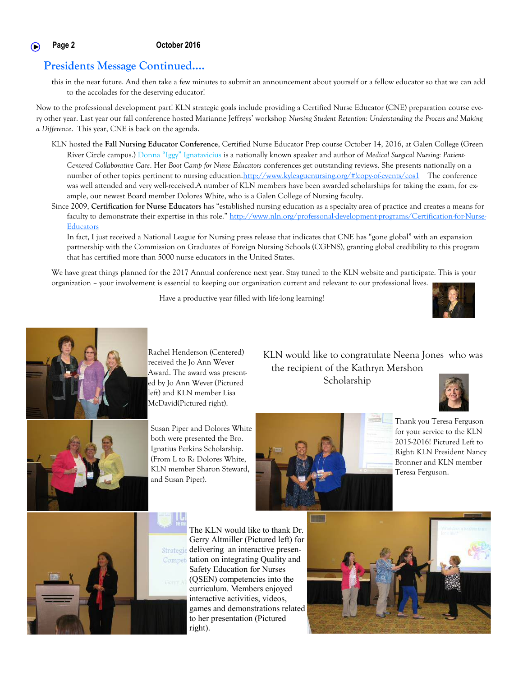## **Presidents Message Continued….**

this in the near future. And then take a few minutes to submit an announcement about yourself or a fellow educator so that we can add to the accolades for the deserving educator!

Now to the professional development part! KLN strategic goals include providing a Certified Nurse Educator (CNE) preparation course every other year. Last year our fall conference hosted Marianne Jeffreys' workshop *Nursing Student Retention: Understanding the Process and Making a Difference*. This year, CNE is back on the agenda.

- KLN hosted the **Fall Nursing Educator Conference**, Certified Nurse Educator Prep course October 14, 2016, at Galen College (Green River Circle campus.) Donna "Iggy" Ignatavicius is a nationally known speaker and author of *Medical Surgical Nursing: Patient-Centered Collaborative Care*. Her *Boot Camp for Nurse Educators* conferences get outstanding reviews. She presents nationally on a number of other topics pertinent to nursing education.<http://www.kyleaguenursing.org/#!copy-of-events/cos1> The conference was well attended and very well-received.A number of KLN members have been awarded scholarships for taking the exam, for example, our newest Board member Dolores White, who is a Galen College of Nursing faculty.
- Since 2009, **Certification for Nurse Educators** has "established nursing education as a specialty area of practice and creates a means for faculty to demonstrate their expertise in this role." [http://www.nln.org/professonal-development-programs/Certification-for-Nurse-](http://www.nln.org/professonal-development-programs/Certification-for-Nurse-Educators)**[Educators](http://www.nln.org/professonal-development-programs/Certification-for-Nurse-Educators)**

In fact, I just received a National League for Nursing press release that indicates that CNE has "gone global" with an expansion partnership with the Commission on Graduates of Foreign Nursing Schools (CGFNS), granting global credibility to this program that has certified more than 5000 nurse educators in the United States.

We have great things planned for the 2017 Annual conference next year. Stay tuned to the KLN website and participate. This is your organization – your involvement is essential to keeping our organization current and relevant to our professional lives.

Have a productive year filled with life-long learning!







Susan Piper and Dolores White both were presented the Bro. Ignatius Perkins Scholarship. (From L to R: Dolores White, KLN member Sharon Steward, and Susan Piper).

KLN would like to congratulate Neena Jones who was the recipient of the Kathryn Mershon

Scholarship





Thank you Teresa Ferguson for your service to the KLN 2015-2016! Pictured Left to Right: KLN President Nancy Bronner and KLN member Teresa Ferguson.



The KLN would like to thank Dr. Gerry Altmiller (Pictured left) for **Strategie** delivering an interactive presen-Compet tation on integrating Quality and Safety Education for Nurses (QSEN) competencies into the curriculum. Members enjoyed interactive activities, videos, games and demonstrations related to her presentation (Pictured right).

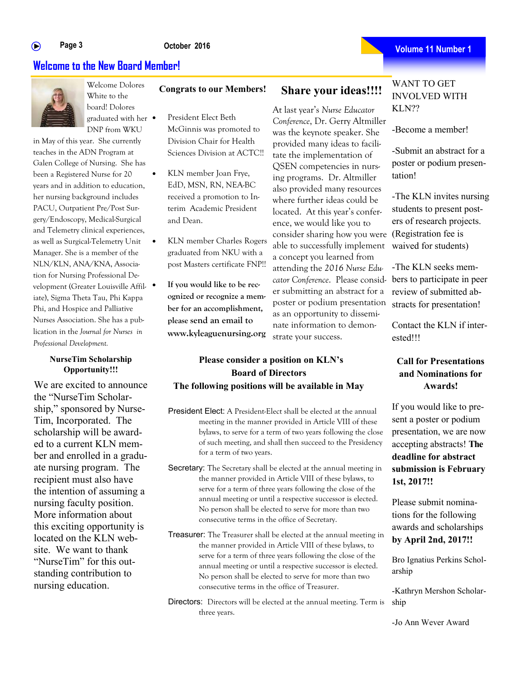#### $\bigcirc$

#### **October 2016**

## **Welcome to the New Board Member!**



Welcome Dolores White to the board! Dolores graduated with her DNP from WKU

in May of this year. She currently teaches in the ADN Program at Galen College of Nursing. She has been a Registered Nurse for 20 years and in addition to education, her nursing background includes PACU, Outpatient Pre/Post Surgery/Endoscopy, Medical-Surgical and Telemetry clinical experiences, as well as Surgical-Telemetry Unit Manager. She is a member of the NLN/KLN, ANA/KNA, Association for Nursing Professional Development (Greater Louisville Affiliate), Sigma Theta Tau, Phi Kappa Phi, and Hospice and Palliative Nurses Association. She has a publication in the *Journal for Nurses in Professional Development.* 

#### **NurseTim Scholarship Opportunity!!!**

We are excited to announce the "NurseTim Scholarship," sponsored by Nurse-Tim, Incorporated. The scholarship will be awarded to a current KLN member and enrolled in a graduate nursing program. The recipient must also have the intention of assuming a nursing faculty position. More information about this exciting opportunity is located on the KLN website. We want to thank "NurseTim" for this outstanding contribution to nursing education.

- President Elect Beth McGinnis was promoted to Division Chair for Health Sciences Division at ACTC!!
- KLN member Joan Frye, EdD, MSN, RN, NEA-BC received a promotion to Interim Academic President and Dean.
- KLN member Charles Rogers graduated from NKU with a post Masters certificate FNP!!
	- **If you would like to be recognized or recognize a member for an accomplishment, please send an email to www.kyleaguenursing.org**

## **Congrats to our Members! Share your ideas!!!!**

consider sharing how you were (Registration fee is able to successfully implement waived for students) cator Conference. Please consid- bers to participate in peer At last year's *Nurse Educator Conference*, Dr. Gerry Altmiller was the keynote speaker. She provided many ideas to facilitate the implementation of QSEN competencies in nursing programs. Dr. Altmiller also provided many resources where further ideas could be located. At this year's conference, we would like you to a concept you learned from attending the *2016 Nurse Edu*er submitting an abstract for a poster or podium presentation as an opportunity to disseminate information to demonstrate your success.

### WANT TO GET INVOLVED WITH KLN??

-Become a member!

-Submit an abstract for a poster or podium presentation!

-The KLN invites nursing students to present posters of research projects.

-The KLN seeks memreview of submitted abstracts for presentation!

Contact the KLN if interested!!!

### **Call for Presentations and Nominations for Awards!**

If you would like to present a poster or podium presentation, we are now accepting abstracts! **The deadline for abstract submission is February 1st, 2017!!**

Please submit nominations for the following awards and scholarships **by April 2nd, 2017!!**

Bro Ignatius Perkins Scholarship

-Kathryn Mershon Scholarship

-Jo Ann Wever Award

### **Please consider a position on KLN's Board of Directors The following positions will be available in May**

- President Elect: A President-Elect shall be elected at the annual meeting in the manner provided in Article VIII of these bylaws, to serve for a term of two years following the close of such meeting, and shall then succeed to the Presidency for a term of two years.
- Secretary: The Secretary shall be elected at the annual meeting in the manner provided in Article VIII of these bylaws, to serve for a term of three years following the close of the annual meeting or until a respective successor is elected. No person shall be elected to serve for more than two consecutive terms in the office of Secretary.
- Treasurer: The Treasurer shall be elected at the annual meeting in the manner provided in Article VIII of these bylaws, to serve for a term of three years following the close of the annual meeting or until a respective successor is elected. No person shall be elected to serve for more than two consecutive terms in the office of Treasurer.
- Directors: Directors will be elected at the annual meeting. Term is three years.

**Page 3** Colober 2016 **Contact Accord 2016** Color 2016 **Color 2016** Color 2016